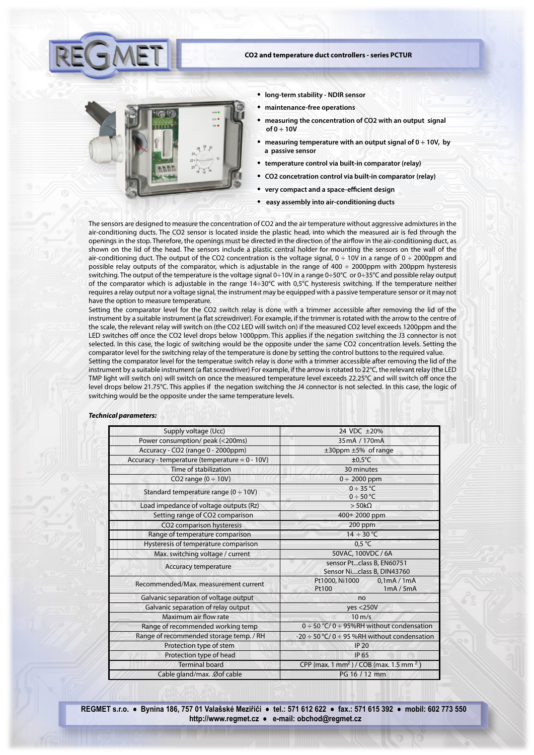

- **CO2 and temperature duct controllers series PCTUR**
	- **long-term stability NDIR sensor**
	- **maintenance-free operations**
	- **measuring the concentration of CO2 with an output signal of 0 ÷ 10V**
	- **measuring temperature with an output signal of 0 ÷ 10V, by a passive sensor**
	- **temperature control via built-in comparator (relay)**
	- **CO2 concetration control via built-in comparator (relay)**
	- **very compact and a space-efficient design**
	- **easy assembly into air-conditioning ducts**

The sensors are designed to measure the concentration of CO2 and the air temperature without aggressive admixtures in the air-conditioning ducts. The CO2 sensor is located inside the plastic head, into which the measured air is fed through the openings in the stop. Therefore, the openings must be directed in the direction of the airflow in the air-conditioning duct, as shown on the lid of the head. The sensors include a plastic central holder for mounting the sensors on the wall of the air-conditioning duct. The output of the CO2 concentration is the voltage signal,  $0 \div 10V$  in a range of  $0 \div 2000$ ppm and possible relay outputs of the comparator, which is adjustable in the range of 400 ÷ 2000ppm with 200ppm hysteresis switching. The output of the temperature is the voltage signal 0÷10V in a range 0÷50°C or 0÷35°C and possible relay output of the comparator which is adjustable in the range 14÷30°C with 0,5°C hysteresis switching. If the temperature neither requires a relay output nor a voltage signal, the instrument may be equipped with a passive temperature sensor or it may not have the option to measure temperature.

Setting the comparator level for the CO2 switch relay is done with a trimmer accessible after removing the lid of the instrument by a suitable instrument (a flat screwdriver). For example, if the trimmer is rotated with the arrow to the centre of the scale, the relevant relay will switch on (the CO2 LED will switch on) if the measured CO2 level exceeds 1200ppm and the LED switches off once the CO2 level drops below 1000ppm. This applies if the negation switching the J3 connector is not selected. In this case, the logic of switching would be the opposite under the same CO2 concentration levels. Setting the comparator level for the switching relay of the temperature is done by setting the control buttons to the required value.

Setting the comparator level for the temperatue switch relay is done with a trimmer accessible after removing the lid of the instrument by a suitable instrument (a flat screwdriver) For example, if the arrow is rotated to 22°C, the relevant relay (the LED TMP light will switch on) will switch on once the measured temperature level exceeds 22.25°C and will switch off once the level drops below 21.75°C. This applies if the negation switching the J4 connector is not selected. In this case, the logic of switching would be the opposite under the same temperature levels.

## *Technical parameters:*

| Supply voltage (Ucc)                              | 24 VDC ±20%                                                     |  |  |
|---------------------------------------------------|-----------------------------------------------------------------|--|--|
| Power consumption/ peak (<200ms)                  | 35 mA / 170 mA                                                  |  |  |
| Accuracy - CO2 (range 0 - 2000ppm)                | $\pm 30$ ppm $\pm 5\%$ of range                                 |  |  |
| Accuracy - temperature (temperature = $0 - 10V$ ) | $±0,5^{\circ}$ C                                                |  |  |
| Time of stabilization                             | 30 minutes                                                      |  |  |
| CO2 range $(0 \div 10V)$                          | $0 \div 2000$ ppm                                               |  |  |
| Standard temperature range ( $0 \div 10V$ )       | $0 \div 35$ °C<br>$0 \div 50$ °C                                |  |  |
| Load impedance of voltage outputs (Rz)            | $>$ 50k $\Omega$                                                |  |  |
| Setting range of CO2 comparison                   | 400÷ 2000 ppm                                                   |  |  |
| CO2 comparison hysteresis                         | 200 ppm                                                         |  |  |
| Range of temperature comparison                   | $14 \div 30^{\circ}$ C                                          |  |  |
| Hysteresis of temperature comparison              | $0.5^{\circ}$ C                                                 |  |  |
| Max. switching voltage / current                  | 50VAC, 100VDC / 6A                                              |  |  |
| Accuracy temperature                              | sensor Ptclass B, EN60751<br>Sensor Niclass B, DIN43760         |  |  |
| Recommended/Max, measurement current              | Pt1000, Ni1000<br>0,1mA/1mA<br>Pt100<br>1mA/5mA                 |  |  |
| Galvanic separation of voltage output             | no                                                              |  |  |
| Galvanic separation of relay output               | yes < 250V                                                      |  |  |
| Maximum air flow rate                             | $10 \text{ m/s}$                                                |  |  |
| Range of recommended working temp                 | $0 \div 50$ °C/ 0 $\div$ 95%RH without condensation             |  |  |
| Range of recommended storage temp. / RH           | $-20 \div 50$ °C/0 $\div$ 95 %RH without condensation           |  |  |
| Protection type of stem                           | <b>IP 20</b>                                                    |  |  |
| Protection type of head                           | <b>IP 65</b>                                                    |  |  |
| <b>Terminal board</b>                             | CPP (max. 1 mm <sup>2</sup> ) / COB (max. 1.5 mm <sup>2</sup> ) |  |  |
| Cable gland/max. . Ø of cable                     | PG 16 / 12 mm                                                   |  |  |

**REGMET s.r.o. ● Bynina 186, 757 01 Valašské Meziříčí ● tel.: 571 612 622 ● fax.: 571 615 392 ● mobil: 602 773 550 http://www.regmet.cz ● e-mail: obchod@regmet.cz**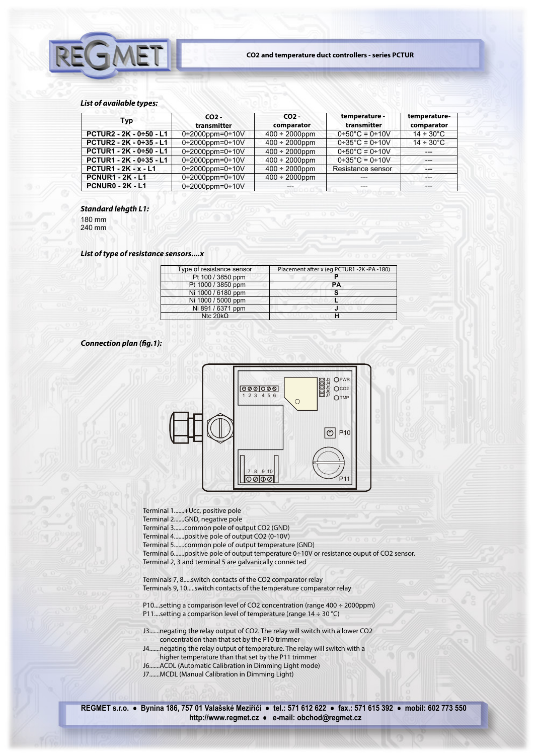

## *List of available types:*

| Typ                         | CO <sub>2</sub><br>transmitter | CO <sub>2</sub><br>comparator | temperature -<br>transmitter | temperature-<br>comparator |
|-----------------------------|--------------------------------|-------------------------------|------------------------------|----------------------------|
| PCTUR2 - 2K - 0÷50 - L1     | $0+2000$ ppm= $0+10V$          | $400 \div 2000$ ppm           | $0+50^{\circ}$ C = 0+10V     | $14 \div 30^{\circ}$ C     |
| PCTUR2 - 2K - 0÷35 - L1     | $0+2000$ ppm= $0+10V$          | $400 \div 2000$ ppm           | $0+35^{\circ}C = 0+10V$      | $14 \div 30^{\circ}$ C     |
| PCTUR1 - 2K - 0÷50 - L1     | $0+2000$ ppm= $0+10V$          | $400 \div 2000$ ppm           | $0+50^{\circ}$ C = 0+10V     |                            |
| PCTUR1 - 2K - 0÷35 - L1     | $0+2000$ ppm= $0+10V$          | $400 \div 2000$ ppm           | $0+35^{\circ}C = 0+10V$      | $---$                      |
| <b>PCTUR1 - 2K - x - L1</b> | $0+2000$ ppm= $0+10V$          | $400 \div 2000$ ppm           | Resistance sensor            |                            |
| <b>PCNUR1 - 2K - L1</b>     | $0+2000$ ppm= $0+10V$          | $400 \div 2000$ ppm           | $---$                        |                            |
| <b>PCNUR0 - 2K - L1</b>     | $0+2000$ ppm=0+10V             | ---                           | $---$                        | ---                        |

## *Standard lehgth L1:*

180 mm 240 mm

# *List of type of resistance sensors....x*

| Type of resistance sensor | Placement after x (eg PCTUR1 -2K -PA -180) |
|---------------------------|--------------------------------------------|
| Pt 100 / 3850 ppm         |                                            |
| Pt 1000 / 3850 ppm        | PА                                         |
| Ni 1000 / 6180 ppm        | s                                          |
| Ni 1000 / 5000 ppm        |                                            |
| Ni 891 / 6371 ppm         | J                                          |
| Ntc $20k0$                |                                            |

## **Connection plan (fig.1):**



Terminal 1.......+Ucc, positive pole

Terminal 2.......GND, negative pole

Terminal 3.......common pole of output CO2 (GND)

Terminal 4.......positive pole of output CO2 (0-10V)

Terminal 5.......common pole of output temperature (GND)

Terminal 6.......positive pole of output temperature 0÷10V or resistance ouput of CO2 sensor. Terminal 2, 3 and terminal 5 are galvanically connected

Terminals 7, 8.....switch contacts of the CO2 comparator relay Terminals 9, 10.....switch contacts of the temperature comparator relay

P10....setting a comparison level of CO2 concentration (range 400 ÷ 2000ppm) P11....setting a comparison level of temperature (range  $14 \div 30^{\circ}$ C)

- J3.......negating the relay output of CO2. The relay will switch with a lower CO2 concentration than that set by the P10 trimmer
- J4.......negating the relay output of temperature. The relay will switch with a higher temperature than that set by the P11 trimmer
- J6.......ACDL (Automatic Calibration in Dimming Light mode)
- J7.......MCDL (Manual Calibration in Dimming Light)